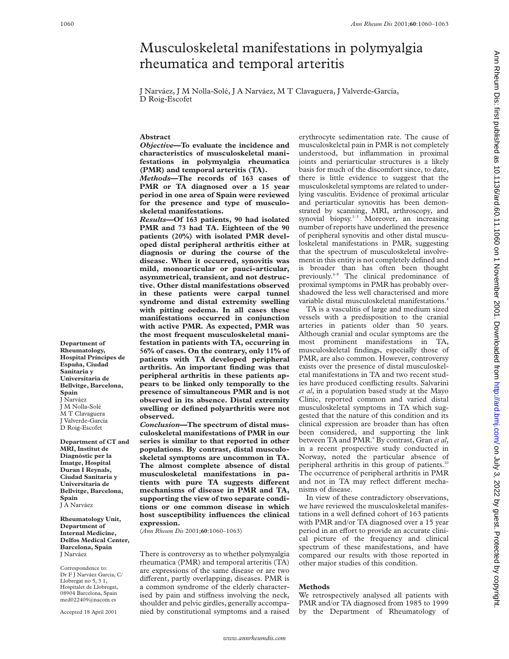# Musculoskeletal manifestations in polymyalgia rheumatica and temporal arteritis

J Narváez, J M Nolla-Solé, J A Narváez, M T Clavaguera, J Valverde-García, D Roig-Escofet

### **Abstract**

*Objective***—To evaluate the incidence and characteristics of musculoskeletal manifestations in polymyalgia rheumatica (PMR) and temporal arteritis (TA).**

*Methods***—The records of 163 cases of PMR or TA diagnosed over a 15 year period in one area of Spain were reviewed for the presence and type of musculoskeletal manifestations.**

*Results***—Of 163 patients, 90 had isolated PMR and 73 had TA. Eighteen of the 90 patients (20%) with isolated PMR developed distal peripheral arthritis either at diagnosis or during the course of the disease. When it occurred, synovitis was mild, monoarticular or pauci-articular, asymmetrical, transient, and not destructive. Other distal manifestations observed in these patients were carpal tunnel syndrome and distal extremity swelling with pitting oedema. In all cases these manifestations occurred in conjunction with active PMR. As expected, PMR was the most frequent musculoskeletal manifestation in patients with TA, occurring in 56% of cases. On the contrary, only 11% of patients with TA developed peripheral arthritis. An important finding was that peripheral arthritis in these patients appears to be linked only temporally to the presence of simultaneous PMR and is not observed in its absence. Distal extremity swelling or defined polyarthritis were not observed.**

*Conclusion***—The spectrum of distal musculoskeletal manifestations of PMR in our series is similar to that reported in other populations. By contrast, distal musculoskeletal symptoms are uncommon in TA. The almost complete absence of distal musculoskeletal manifestations in patients with pure TA suggests different mechanisms of disease in PMR and TA, supporting the view of two separate conditions or one common disease in which host susceptibility influences the clinical expression.**

(*Ann Rheum Dis* 2001;**60**:1060–1063)

There is controversy as to whether polymyalgia rheumatica (PMR) and temporal arteritis (TA) are expressions of the same disease or are two different, partly overlapping, diseases. PMR is a common syndrome of the elderly characterised by pain and stiffness involving the neck, shoulder and pelvic girdles, generally accompanied by constitutional symptoms and a raised erythrocyte sedimentation rate. The cause of musculoskeletal pain in PMR is not completely understood, but inflammation in proximal joints and periarticular structures is a likely basis for much of the discomfort since, to date, there is little evidence to suggest that the musculoskeletal symptoms are related to underlying vasculitis. Evidence of proximal articular and periarticular synovitis has been demonstrated by scanning, MRI, arthroscopy, and synovial biopsy.<sup>1-3</sup> Moreover, an increasing number of reports have underlined the presence of peripheral synovitis and other distal musculoskeletal manifestations in PMR, suggesting that the spectrum of musculoskeletal involvement in this entity is not completely defined and is broader than has often been thought previously.<sup>4-8</sup> The clinical predominance of proximal symptoms in PMR has probably overshadowed the less well characterised and more variable distal musculoskeletal manifestations.<sup>4</sup>

TA is a vasculitis of large and medium sized vessels with a predisposition to the cranial arteries in patients older than 50 years. Although cranial and ocular symptoms are the most prominent manifestations in TA, musculoskeletal findings, especially those of PMR, are also common. However, controversy exists over the presence of distal musculoskeletal manifestations in TA and two recent studies have produced conflicting results. Salvarini *et al*, in a population based study at the Mayo Clinic, reported common and varied distal musculoskeletal symptoms in TA which suggested that the nature of this condition and its clinical expression are broader than has often been considered, and supporting the link between TA and PMR.9 By contrast, Gran *et al*, in a recent prospective study conducted in Norway, noted the particular absence of peripheral arthritis in this group of patients.<sup>10</sup> The occurrence of peripheral arthritis in PMR and not in TA may reflect different mechanisms of disease.

In view of these contradictory observations, we have reviewed the musculoskeletal manifestations in a well defined cohort of 163 patients with PMR and/or TA diagnosed over a 15 year period in an effort to provide an accurate clinical picture of the frequency and clinical spectrum of these manifestations, and have compared our results with those reported in other major studies of this condition.

## **Methods**

We retrospectively analysed all patients with PMR and/or TA diagnosed from 1985 to 1999 by the Department of Rheumatology of Ann Rheum Dis: first published as 10.1136/ard.60.11.1060 on 1 November 2001. Downloaded from http://ard.bmj.com/ on July 3, 2022 by guest. Protected by copyright http://ard.bm/ on July 3, 2022 by guest. Protected by copyright. Http://ard.bmj.com/ Ann Rheum District published as 10.22.0, 2022 publisht. Protected by copyright.

**Department of Rheumatology, Hospital Príncipes de España, Ciudad Sanitaria y Universitaria de Bellvitge, Barcelona, Spain** J Narváez J M Nolla-Solé M T Clavaguera J Valverde-García D Roig-Escofet

**Department of CT and MRI, Institut de Diagnòstic per la Imatge, Hospital Duran I Reynals, Ciudad Sanitaria y Universitaria de Bellvitge, Barcelona, Spain** J A Narváez

**Rheumatology Unit, Department of Internal Medicine, Delfos Medical Center, Barcelona, Spain** J Narváez

Correspondence to: Dr F J Narváez Garcia, C/ Llobregat no 5, 3 1, Hospitalet de Llobregat, 08904 Barcelona, Spain med022409@nacom.es

Accepted 18 April 2001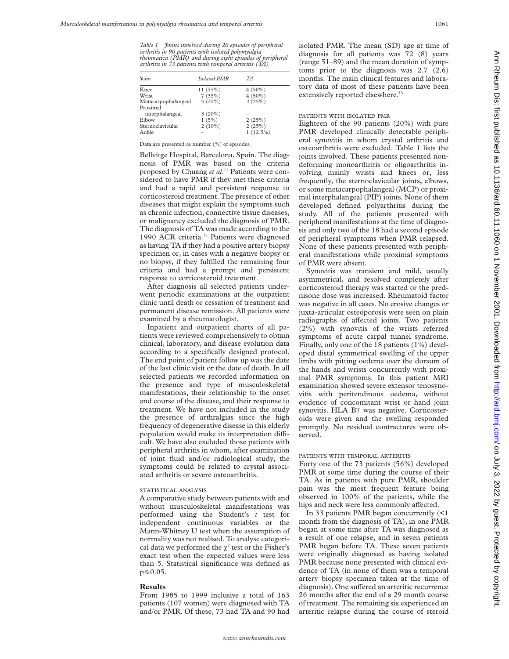*Table 1 Joints involved during 20 episodes of peripheral arthritis in 90 patients with isolated polymyalgia rheumatica (PMR) and during eight episodes of peripheral arthritis in 73 patients with temporal arteritis (TA)*

| <i>Foint</i>        | Isolated PMR | TA          |
|---------------------|--------------|-------------|
|                     |              |             |
| Knee                | 11(55%)      | $4(50\%)$   |
| Wrist               | 7(35%)       | $4(50\%)$   |
| Metacarpophalangeal | 5(25%)       | 2(25%)      |
| Proximal            |              |             |
| interphalangeal     | $3(20\%)$    |             |
| Elbow               | 1(5%)        | 2(25%)      |
| Sternoclavicular    | $2(10\%)$    | 2(25%)      |
| Ankle               |              | $1(12.5\%)$ |

Data are presented as number (%) of episodes.

Bellvitge Hospital, Barcelona, Spain. The diagnosis of PMR was based on the criteria proposed by Chuang *et al*. <sup>11</sup> Patients were considered to have PMR if they met these criteria and had a rapid and persistent response to corticosteroid treatment. The presence of other diseases that might explain the symptoms such as chronic infection, connective tissue diseases, or malignancy excluded the diagnosis of PMR. The diagnosis of TA was made according to the 1990 ACR criteria.<sup>12</sup> Patients were diagnosed as having TA if they had a positive artery biopsy specimen or, in cases with a negative biopsy or no biopsy, if they fulfilled the remaining four criteria and had a prompt and persistent response to corticosteroid treatment.

After diagnosis all selected patients underwent periodic examinations at the outpatient clinic until death or cessation of treatment and permanent disease remission. All patients were examined by a rheumatologist.

Inpatient and outpatient charts of all patients were reviewed comprehensively to obtain clinical, laboratory, and disease evolution data according to a specifically designed protocol. The end point of patient follow up was the date of the last clinic visit or the date of death. In all selected patients we recorded information on the presence and type of musculoskeletal manifestations, their relationship to the onset and course of the disease, and their response to treatment. We have not included in the study the presence of arthralgias since the high frequency of degenerative disease in this elderly population would make its interpretation difficult. We have also excluded those patients with peripheral arthritis in whom, after examination of joint fluid and/or radiological study, the symptoms could be related to crystal associated arthritis or severe osteoarthritis.

#### STATISTICAL ANALYSIS

A comparative study between patients with and without musculoskeletal manifestations was performed using the Student's *t* test for independent continuous variables or the Mann-Whitney U test when the assumption of normality was not realised. To analyse categorical data we performed the  $\chi^2$  test or the Fisher's exact test when the expected values were less than 5. Statistical significance was defined as  $p \le 0.05$ .

#### **Results**

From 1985 to 1999 inclusive a total of 163 patients (107 women) were diagnosed with TA and/or PMR. Of these, 73 had TA and 90 had isolated PMR. The mean (SD) age at time of diagnosis for all patients was 72 (8) years (range 51–89) and the mean duration of symptoms prior to the diagnosis was 2.7 (2.6) months. The main clinical features and laboratory data of most of these patients have been extensively reported elsewhere.<sup>13</sup>

#### PATIENTS WITH ISOLATED PMR

Eighteen of the 90 patients (20%) with pure PMR developed clinically detectable peripheral synovitis in whom crystal arthritis and osteoarthritis were excluded. Table 1 lists the joints involved. These patients presented nondeforming monoarthritis or oligoarthritis involving mainly wrists and knees or, less frequently, the sternoclavicular joints, elbows, or some metacarpophalangeal (MCP) or proximal interphalangeal (PIP) joints. None of them developed defined polyarthritis during the study. All of the patients presented with peripheral manifestations at the time of diagnosis and only two of the 18 had a second episode of peripheral symptoms when PMR relapsed. None of these patients presented with peripheral manifestations while proximal symptoms of PMR were absent.

Synovitis was transient and mild, usually asymmetrical, and resolved completely after corticosteroid therapy was started or the prednisone dose was increased. Rheumatoid factor was negative in all cases. No erosive changes or juxta-articular osteoporosis were seen on plain radiographs of affected joints. Two patients (2%) with synovitis of the wrists referred symptoms of acute carpal tunnel syndrome. Finally, only one of the 18 patients (1%) developed distal symmetrical swelling of the upper limbs with pitting oedema over the dorsum of the hands and wrists concurrently with proximal PMR symptoms. In this patient MRI examination showed severe extensor tenosynovitis with peritendinous oedema, without evidence of concomitant wrist or hand joint synovitis. HLA B7 was negative. Corticosteroids were given and the swelling responded promptly. No residual contractures were observed.

#### PATIENTS WITH TEMPORAL ARTERITIS

Forty one of the 73 patients (56%) developed PMR at some time during the course of their TA. As in patients with pure PMR, shoulder pain was the most frequent feature being observed in 100% of the patients, while the hips and neck were less commonly affected.

In 33 patients PMR began concurrently (<1 month from the diagnosis of TA), in one PMR began at some time after TA was diagnosed as a result of one relapse, and in seven patients PMR began before TA. These seven patients were originally diagnosed as having isolated PMR because none presented with clinical evidence of TA (in none of them was a temporal artery biopsy specimen taken at the time of diagnosis). One suffered an arteritic recurrence 26 months after the end of a 29 month course of treatment. The remaining six experienced an arteritic relapse during the course of steroid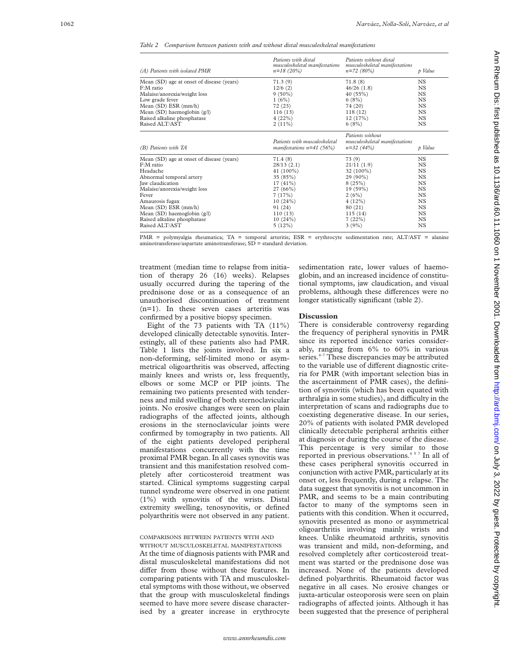*Table 2 Comparison between patients with and without distal musculoskeletal manifestations*

| (A) Patients with isolated PMR            | Patients with distal<br>musculoskeletal manifestations<br>$n=18(20%)$ | Patients without distal<br>musculoskeletal manifestations<br>$n=72(80%)$ | p Value   |
|-------------------------------------------|-----------------------------------------------------------------------|--------------------------------------------------------------------------|-----------|
| Mean (SD) age at onset of disease (years) | 71.3(9)                                                               | 71.8(8)                                                                  | NS.       |
| F:M ratio                                 | 12/6(2)                                                               | 46/26(1.8)                                                               | NS.       |
| Malaise/anorexia/weight loss              | $9(50\%)$                                                             | 40(55%)                                                                  | NS.       |
| Low grade fever                           | 1(6%)                                                                 | 6(8%)                                                                    | NS.       |
| Mean (SD) ESR (mm/h)                      | 72(23)                                                                | 74 (20)                                                                  | <b>NS</b> |
| Mean (SD) haemoglobin (g/l)               | 116(13)                                                               | 118(12)                                                                  | <b>NS</b> |
| Raised alkaline phosphatase               | 4(22%)                                                                | 12(17%)                                                                  | <b>NS</b> |
| Raised ALT/AST                            | $2(11\%)$                                                             | 6(8%)                                                                    | NS.       |
| (B) Patients with TA                      | Patients with musculoskeletal<br>manifestations $n=41$ (56%)          | Patients without<br>musculoskeletal manifestations<br>$n=32(44%)$        | p Value   |
| Mean (SD) age at onset of disease (years) | 71.4 (8)                                                              | 73(9)                                                                    | NS.       |
| F:M ratio                                 | 28/13(2.1)                                                            | 21/11(1.9)                                                               | <b>NS</b> |
| Headache                                  | 41 $(100\%)$                                                          | $32(100\%)$                                                              | NS.       |
| Abnormal temporal artery                  | 35 (85%)                                                              | 29 (90%)                                                                 | <b>NS</b> |
| Jaw claudication                          | $17(41\%)$                                                            | 8(25%)                                                                   | <b>NS</b> |
| Malaise/anorexia/weight loss              | 27(66%)                                                               | $19(59\%)$                                                               | <b>NS</b> |
| Fever                                     | 7(17%)                                                                | 2(6%)                                                                    | NS.       |
| Amaurosis fugax                           | 10(24%)                                                               | 4(12%)                                                                   | <b>NS</b> |
| Mean (SD) ESR (mm/h)                      | 91 (24)                                                               | 80 (21)                                                                  | <b>NS</b> |
| Mean (SD) haemoglobin (g/l)               | 110(13)                                                               | 115(14)                                                                  | NS.       |
| Raised alkaline phosphatase               | 10(24%)                                                               | 7(22%)                                                                   | <b>NS</b> |
| Raised ALT/AST                            | 5(12%)                                                                | 3(9%)                                                                    | <b>NS</b> |
|                                           |                                                                       |                                                                          |           |

PMR = polymyalgia rheumatica; TA = temporal arteritis; ESR = erythrocyte sedimentation rate; ALT/AST = alanine aminotransferase/aspartate aminotransferase;  $SD =$  standard deviation.

treatment (median time to relapse from initiation of therapy 26 (16) weeks). Relapses usually occurred during the tapering of the prednisone dose or as a consequence of an unauthorised discontinuation of treatment (n=1). In these seven cases arteritis was confirmed by a positive biopsy specimen.

Eight of the 73 patients with TA (11%) developed clinically detectable synovitis. Interestingly, all of these patients also had PMR. Table 1 lists the joints involved. In six a non-deforming, self-limited mono or asymmetrical oligoarthritis was observed, affecting mainly knees and wrists or, less frequently, elbows or some MCP or PIP joints. The remaining two patients presented with tenderness and mild swelling of both sternoclavicular joints. No erosive changes were seen on plain radiographs of the affected joints, although erosions in the sternoclavicular joints were confirmed by tomography in two patients. All of the eight patients developed peripheral manifestations concurrently with the time proximal PMR began. In all cases synovitis was transient and this manifestation resolved completely after corticosteroid treatment was started. Clinical symptoms suggesting carpal tunnel syndrome were observed in one patient (1%) with synovitis of the wrists. Distal extremity swelling, tenosynovitis, or defined polyarthritis were not observed in any patient.

# COMPARISONS BETWEEN PATIENTS WITH AND

WITHOUT MUSCULOSKELETAL MANIFESTATIONS At the time of diagnosis patients with PMR and distal musculoskeletal manifestations did not differ from those without these features. In comparing patients with TA and musculoskeletal symptoms with those without, we observed that the group with musculoskeletal findings seemed to have more severe disease characterised by a greater increase in erythrocyte

sedimentation rate, lower values of haemoglobin, and an increased incidence of constitutional symptoms, jaw claudication, and visual problems, although these differences were no longer statistically significant (table 2).

#### **Discussion**

There is considerable controversy regarding the frequency of peripheral synovitis in PMR since its reported incidence varies considerably, ranging from 6% to 60% in various series.<sup>4-7</sup> These discrepancies may be attributed to the variable use of different diagnostic criteria for PMR (with important selection bias in the ascertainment of PMR cases), the definition of synovitis (which has been equated with arthralgia in some studies), and difficulty in the interpretation of scans and radiographs due to coexisting degenerative disease. In our series, 20% of patients with isolated PMR developed clinically detectable peripheral arthritis either at diagnosis or during the course of the disease. This percentage is very similar to those reported in previous observations.457 In all of these cases peripheral synovitis occurred in conjunction with active PMR, particularly at its onset or, less frequently, during a relapse. The data suggest that synovitis is not uncommon in PMR, and seems to be a main contributing factor to many of the symptoms seen in patients with this condition. When it occurred, synovitis presented as mono or asymmetrical oligoarthritis involving mainly wrists and knees. Unlike rheumatoid arthritis, synovitis was transient and mild, non-deforming, and resolved completely after corticosteroid treatment was started or the prednisone dose was increased. None of the patients developed defined polyarthritis. Rheumatoid factor was negative in all cases. No erosive changes or juxta-articular osteoporosis were seen on plain radiographs of affected joints. Although it has been suggested that the presence of peripheral